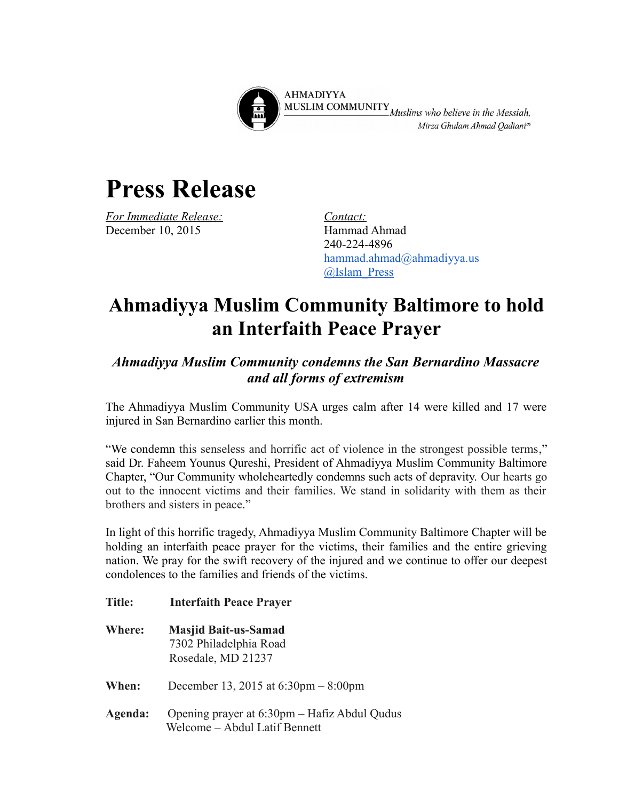

**AHMADIYYA** MUSLIM COMMUNITY<br>Muslims who believe in the Messiah, Mirza Ghulam Ahmad Qadiani<sup>as</sup>

## **Press Release**

*For Immediate Release: Contact: Contact: Contact: Contact: Contact: Contact: Contact: Contact: Contact: Contact: Contact: Contact: Contact: Contact: Contact: Contact: Contact: Contact:* December 10, 2015

240-224-4896 hammad.ahmad@ahmadiyya.us [@Islam\\_Press](https://twitter.com/Islam_Press)

## **Ahmadiyya Muslim Community Baltimore to hold an Interfaith Peace Prayer**

## *Ahmadiyya Muslim Community condemns the San Bernardino Massacre and all forms of extremism*

The Ahmadiyya Muslim Community USA urges calm after 14 were killed and 17 were injured in San Bernardino earlier this month.

"We condemn this senseless and horrific act of violence in the strongest possible terms," said Dr. Faheem Younus Qureshi, President of Ahmadiyya Muslim Community Baltimore Chapter, "Our Community wholeheartedly condemns such acts of depravity. Our hearts go out to the innocent victims and their families. We stand in solidarity with them as their brothers and sisters in peace."

In light of this horrific tragedy, Ahmadiyya Muslim Community Baltimore Chapter will be holding an interfaith peace prayer for the victims, their families and the entire grieving nation. We pray for the swift recovery of the injured and we continue to offer our deepest condolences to the families and friends of the victims.

- **Title: Interfaith Peace Prayer**
- **Where: Masjid Bait-us-Samad** 7302 Philadelphia Road Rosedale, MD 21237
- **When:** December 13, 2015 at 6:30pm 8:00pm
- **Agenda:** Opening prayer at 6:30pm Hafiz Abdul Qudus Welcome – Abdul Latif Bennett